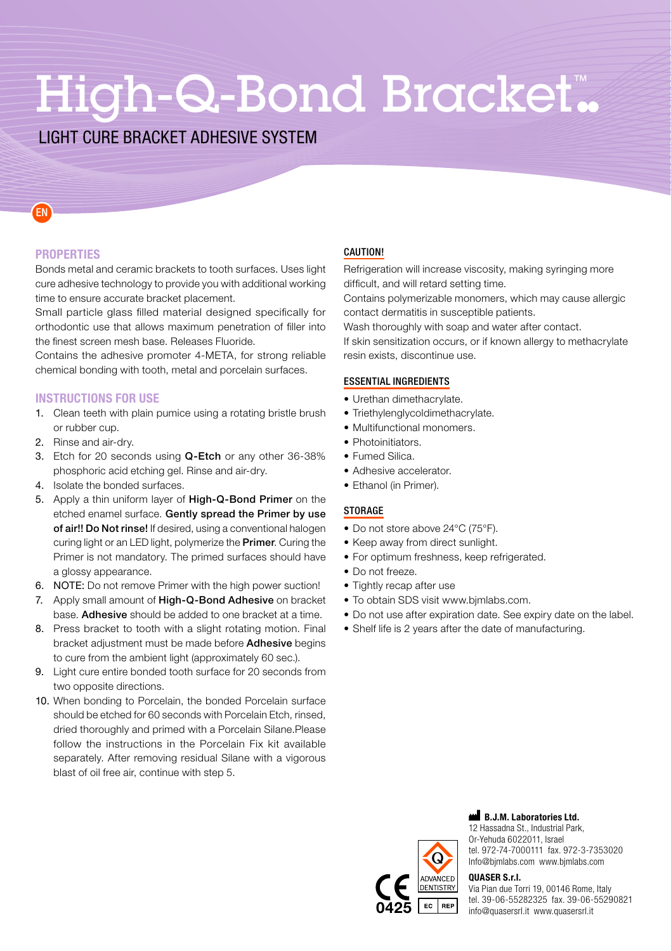# High-Q-Bond Bracket.

# **LIGHT CURE BRACKET ADHESIVE SYSTEM**

EN

**PROPERTIES** 

Bonds metal and ceramic brackets to tooth surfaces. Uses light cure adhesive technology to provide you with additional working time to ensure accurate bracket placement.

Small particle glass filled material designed specifically for orthodontic use that allows maximum penetration of filler into the finest screen mesh base. Releases Fluoride.

Contains the adhesive promoter 4-META, for strong reliable chemical bonding with tooth, metal and porcelain surfaces.

#### **INSTRUCTIONS FOR USE**

- 1. Clean teeth with plain pumice using a rotating bristle brush or rubber cup.
- 2. Rinse and air-dry.
- 3. Etch for 20 seconds using Q-Etch or any other 36-38% phosphoric acid etching gel. Rinse and air-dry.
- 4. Isolate the bonded surfaces.
- 5. Apply a thin uniform layer of High-Q-Bond Primer on the etched enamel surface. Gently spread the Primer by use of air!! Do Not rinse! If desired, using a conventional halogen curing light or an LED light, polymerize the Primer. Curing the Primer is not mandatory. The primed surfaces should have a glossy appearance.
- 6. NOTE: Do not remove Primer with the high power suction!
- 7. Apply small amount of High-Q-Bond Adhesive on bracket base. Adhesive should be added to one bracket at a time.
- 8. Press bracket to tooth with a slight rotating motion. Final bracket adjustment must be made before Adhesive begins to cure from the ambient light (approximately 60 sec.).
- 9. Light cure entire bonded tooth surface for 20 seconds from two opposite directions.
- 10. When bonding to Porcelain, the bonded Porcelain surface should be etched for 60 seconds with Porcelain Ftch, rinsed. dried thoroughly and primed with a Porcelain Silane Please follow the instructions in the Porcelain Fix kit available separately. After removing residual Silane with a vigorous blast of oil free air, continue with step 5.

#### CAUTION!

Refrigeration will increase viscosity, making syringing more difficult, and will retard setting time.

Contains polymerizable monomers, which may cause allergic contact dermatitis in susceptible patients.

Wash thoroughly with soap and water after contact.

If skin sensitization occurs, or if known allergy to methacrylate resin exists, discontinue use.

#### **ESSENTIAL INGREDIENTS**

- Urethan dimethacrylate.
- Triethylenglycoldimethacrylate.
- Multifunctional monomers.
- Photoinitiators
- Fumed Silica.
- Adhesive accelerator.
- Fthanol (in Primer).

#### **STORAGE**

- Do not store above 24°C (75°F).
- Keep away from direct sunlight.
- For optimum freshness, keep refrigerated.
- Do not freeze.
- Tightly recap after use
- To obtain SDS visit www.bjmlabs.com.
- . Do not use after expiration date. See expiry date on the label.
- Shelf life is 2 years after the date of manufacturing.



#### B.J.M. Laboratories Ltd.

, Park Industrial Park Industrial Park Or-Yehuda 6022011, Israel tel. 972-74-7000111 fax. 972-3-7353020 Info@bimlabs.com\_www.bimlabs.com

#### **OUASER S.r.I.**

Via Pian due Torri 19, 00146 Rome, Italy  $\overline{EC}$  REP tel. 39-06-55282325 fax. 39-06-55290821 .tel.  $\overline{B}$  ...